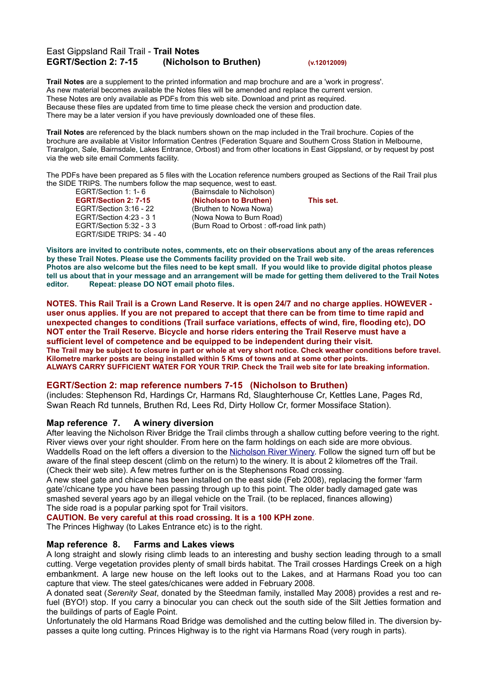# East Gippsland Rail Trail - **Trail Notes EGRT/Section 2: 7-15 (Nicholson to Bruthen) (v.12012009)**

**Trail Notes** are a supplement to the printed information and map brochure and are a 'work in progress'. As new material becomes available the Notes files will be amended and replace the current version. These Notes are only available as PDFs from this web site. Download and print as required. Because these files are updated from time to time please check the version and production date. There may be a later version if you have previously downloaded one of these files.

**Trail Notes** are referenced by the black numbers shown on the map included in the Trail brochure. Copies of the brochure are available at Visitor Information Centres (Federation Square and Southern Cross Station in Melbourne, Traralgon, Sale, Bairnsdale, Lakes Entrance, Orbost) and from other locations in East Gippsland, or by request by post via the web site email Comments facility.

The PDFs have been prepared as 5 files with the Location reference numbers grouped as Sections of the Rail Trail plus the SIDE TRIPS. The numbers follow the map sequence, west to east.<br>EGRT/Section 1: 1- 6 (Bairnsdale to Nicholson)

EGRT/Section 3:16 - 22 (Bruthen to Nowa Nowa) EGRT/SIDE TRIPS: 34 - 40

(Bairnsdale to Nicholson) **EGRT/Section 2: 7-15 (Nicholson to Bruthen) This set.** EGRT/Section 4:23 - 3 1 (Nowa Nowa to Burn Road) EGRT/Section 5:32 - 3 3 (Burn Road to Orbost : off-road link path)

Visitors are invited to contribute notes, comments, etc on their observations about any of the areas references **by these Trail Notes. Please use the Comments facility provided on the Trail web site.** Photos are also welcome but the files need to be kept small. If you would like to provide digital photos please tell us about that in your message and an arrangement will be made for getting them delivered to the Trail Notes **editor. Repeat: please DO NOT email photo files.**

NOTES. This Rail Trail is a Crown Land Reserve. It is open 24/7 and no charge applies. HOWEVER user onus applies. If you are not prepared to accept that there can be from time to time rapid and **unexpected changes to conditions (Trail surface variations, effects of wind, fire, flooding etc), DO NOT enter the Trail Reserve. Bicycle and horse riders entering the Trail Reserve must have a sufficient level of competence and be equipped to be independent during their visit.** The Trail may be subject to closure in part or whole at very short notice. Check weather conditions before travel. **Kilometre marker posts are being installed within 5 Kms of towns and at some other points. ALWAYS CARRY SUFFICIENT WATER FOR YOUR TRIP. Check the Trail web site for late breaking information.**

## **EGRT/Section 2: map reference numbers 7-15 (Nicholson to Bruthen)**

(includes: Stephenson Rd, Hardings Cr, Harmans Rd, Slaughterhouse Cr, Kettles Lane, Pages Rd, Swan Reach Rd tunnels, Bruthen Rd, Lees Rd, Dirty Hollow Cr, former Mossiface Station).

# **Map reference 7. A winery diversion**

After leaving the Nicholson River Bridge the Trail climbs through a shallow cutting before veering to the right. River views over your right shoulder. From here on the farm holdings on each side are more obvious. Waddells Road on the left offers a diversion to the [Nicholson](http://www.nicholsonriverwinery.com.au/) River Winery. Follow the signed turn off but be aware of the final steep descent (climb on the return) to the winery. It is about 2 kilometres off the Trail. (Check their web site). A few metres further on is the Stephensons Road crossing.

A new steel gate and chicane has been installed on the east side (Feb 2008), replacing the former 'farm gate'/chicane type you have been passing through up to this point. The older badly damaged gate was smashed several years ago by an illegal vehicle on the Trail. (to be replaced, finances allowing) The side road is a popular parking spot for Trail visitors.

# **CAUTION. Be very careful at this road crossing. It is a 100 KPH zone**.

The Princes Highway (to Lakes Entrance etc) is to the right.

## **Map reference 8. Farms and Lakes views**

A long straight and slowly rising climb leads to an interesting and bushy section leading through to a small cutting. Verge vegetation provides plenty of small birds habitat. The Trail crosses Hardings Creek on a high embankment. A large new house on the left looks out to the Lakes, and at Harmans Road you too can capture that view. The steel gates/chicanes were added in February 2008.

A donated seat (*Serenity Seat*, donated by the Steedman family, installed May 2008) provides a rest and refuel (BYO!) stop. If you carry a binocular you can check out the south side of the Silt Jetties formation and the buildings of parts of Eagle Point.

Unfortunately the old Harmans Road Bridge was demolished and the cutting below filled in. The diversion bypasses a quite long cutting. Princes Highway is to the right via Harmans Road (very rough in parts).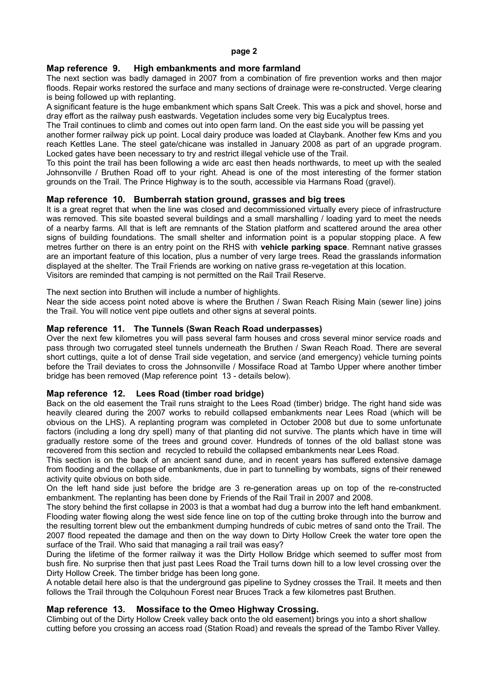## **Map reference 9. High embankments and more farmland**

The next section was badly damaged in 2007 from a combination of fire prevention works and then major floods. Repair works restored the surface and many sections of drainage were re-constructed. Verge clearing is being followed up with replanting.

A significant feature is the huge embankment which spans Salt Creek. This was a pick and shovel, horse and dray effort as the railway push eastwards. Vegetation includes some very big Eucalyptus trees.

The Trail continues to climb and comes out into open farm land. On the east side you will be passing yet another former railway pick up point. Local dairy produce was loaded at Claybank. Another few Kms and you reach Kettles Lane. The steel gate/chicane was installed in January 2008 as part of an upgrade program. Locked gates have been necessary to try and restrict illegal vehicle use of the Trail.

To this point the trail has been following a wide arc east then heads northwards, to meet up with the sealed Johnsonville / Bruthen Road off to your right. Ahead is one of the most interesting of the former station grounds on the Trail. The Prince Highway is to the south, accessible via Harmans Road (gravel).

## **Map reference 10. Bumberrah station ground, grasses and big trees**

It is a great regret that when the line was closed and decommissioned virtually every piece of infrastructure was removed. This site boasted several buildings and a small marshalling / loading yard to meet the needs of a nearby farms. All that is left are remnants of the Station platform and scattered around the area other signs of building foundations. The small shelter and information point is a popular stopping place. A few metres further on there is an entry point on the RHS with **vehicle parking space**. Remnant native grasses are an important feature of this location, plus a number of very large trees. Read the grasslands information displayed at the shelter. The Trail Friends are working on native grass re-vegetation at this location. Visitors are reminded that camping is not permitted on the Rail Trail Reserve.

The next section into Bruthen will include a number of highlights.

Near the side access point noted above is where the Bruthen / Swan Reach Rising Main (sewer line) joins the Trail. You will notice vent pipe outlets and other signs at several points.

#### **Map reference 11. The Tunnels (Swan Reach Road underpasses)**

Over the next few kilometres you will pass several farm houses and cross several minor service roads and pass through two corrugated steel tunnels underneath the Bruthen / Swan Reach Road. There are several short cuttings, quite a lot of dense Trail side vegetation, and service (and emergency) vehicle turning points before the Trail deviates to cross the Johnsonville / Mossiface Road at Tambo Upper where another timber bridge has been removed (Map reference point 13 - details below).

## **Map reference 12. Lees Road (timber road bridge)**

Back on the old easement the Trail runs straight to the Lees Road (timber) bridge. The right hand side was heavily cleared during the 2007 works to rebuild collapsed embankments near Lees Road (which will be obvious on the LHS). A replanting program was completed in October 2008 but due to some unfortunate factors (including a long dry spell) many of that planting did not survive. The plants which have in time will gradually restore some of the trees and ground cover. Hundreds of tonnes of the old ballast stone was recovered from this section and recycled to rebuild the collapsed embankments near Lees Road.

This section is on the back of an ancient sand dune, and in recent years has suffered extensive damage from flooding and the collapse of embankments, due in part to tunnelling by wombats, signs of their renewed activity quite obvious on both side.

On the left hand side just before the bridge are 3 re-generation areas up on top of the re-constructed embankment. The replanting has been done by Friends of the Rail Trail in 2007 and 2008.

The story behind the first collapse in 2003 is that a wombat had dug a burrow into the left hand embankment. Flooding water flowing along the west side fence line on top of the cutting broke through into the burrow and the resulting torrent blew out the embankment dumping hundreds of cubic metres of sand onto the Trail. The 2007 flood repeated the damage and then on the way down to Dirty Hollow Creek the water tore open the surface of the Trail. Who said that managing a rail trail was easy?

During the lifetime of the former railway it was the Dirty Hollow Bridge which seemed to suffer most from bush fire. No surprise then that just past Lees Road the Trail turns down hill to a low level crossing over the Dirty Hollow Creek. The timber bridge has been long gone.

A notable detail here also is that the underground gas pipeline to Sydney crosses the Trail. It meets and then follows the Trail through the Colquhoun Forest near Bruces Track a few kilometres past Bruthen.

## **Map reference 13. Mossiface to the Omeo Highway Crossing.**

Climbing out of the Dirty Hollow Creek valley back onto the old easement) brings you into a short shallow cutting before you crossing an access road (Station Road) and reveals the spread of the Tambo River Valley.